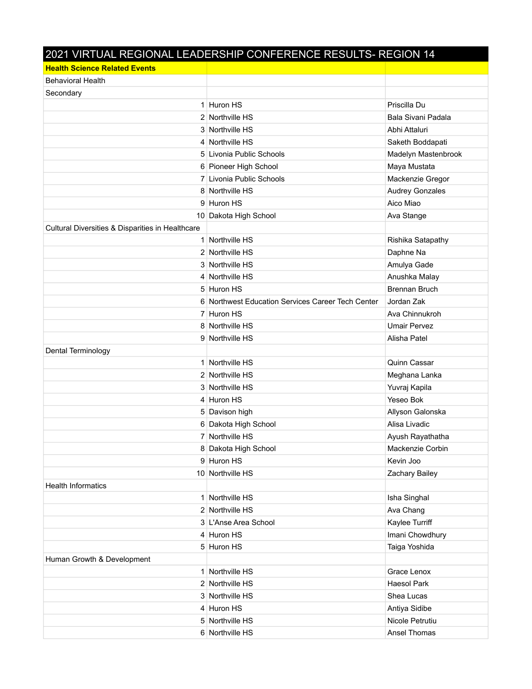## 2021 VIRTUAL REGIONAL LEADERSHIP CONFERENCE RESULTS- REGION 14

| <b>Health Science Related Events</b>             |                                                   |                        |
|--------------------------------------------------|---------------------------------------------------|------------------------|
| <b>Behavioral Health</b>                         |                                                   |                        |
| Secondary                                        |                                                   |                        |
|                                                  | 1 Huron HS                                        | Priscilla Du           |
|                                                  | 2 Northville HS                                   | Bala Sivani Padala     |
|                                                  | 3 Northville HS                                   | Abhi Attaluri          |
|                                                  | 4 Northville HS                                   | Saketh Boddapati       |
|                                                  | 5 Livonia Public Schools                          | Madelyn Mastenbrook    |
|                                                  | 6 Pioneer High School                             | Maya Mustata           |
|                                                  | 7 Livonia Public Schools                          | Mackenzie Gregor       |
|                                                  | 8 Northville HS                                   | <b>Audrey Gonzales</b> |
|                                                  | 9 Huron HS                                        | Aico Miao              |
|                                                  | 10 Dakota High School                             | Ava Stange             |
| Cultural Diversities & Disparities in Healthcare |                                                   |                        |
|                                                  | 1 Northville HS                                   | Rishika Satapathy      |
|                                                  | 2 Northville HS                                   | Daphne Na              |
|                                                  | 3 Northville HS                                   | Amulya Gade            |
|                                                  | 4 Northville HS                                   | Anushka Malay          |
|                                                  | 5 Huron HS                                        | <b>Brennan Bruch</b>   |
|                                                  | 6 Northwest Education Services Career Tech Center | Jordan Zak             |
|                                                  | 7 Huron HS                                        | Ava Chinnukroh         |
|                                                  | 8 Northville HS                                   | <b>Umair Pervez</b>    |
|                                                  | 9 Northville HS                                   | Alisha Patel           |
| Dental Terminology                               |                                                   |                        |
|                                                  | 1 Northville HS                                   | Quinn Cassar           |
|                                                  | 2 Northville HS                                   | Meghana Lanka          |
|                                                  | 3 Northville HS                                   | Yuvraj Kapila          |
|                                                  | 4 Huron HS                                        | Yeseo Bok              |
|                                                  | 5 Davison high                                    | Allyson Galonska       |
|                                                  | 6 Dakota High School                              | Alisa Livadic          |
|                                                  | 7 Northville HS                                   | Ayush Rayathatha       |
|                                                  | 8 Dakota High School                              | Mackenzie Corbin       |
|                                                  | 9 Huron HS                                        | Kevin Joo              |
|                                                  | 10 Northville HS                                  | Zachary Bailey         |
| <b>Health Informatics</b>                        |                                                   |                        |
|                                                  | 1 Northville HS                                   | Isha Singhal           |
|                                                  | 2 Northville HS                                   | Ava Chang              |
|                                                  | 3 L'Anse Area School                              | Kaylee Turriff         |
|                                                  | 4 Huron HS                                        | Imani Chowdhury        |
|                                                  | 5 Huron HS                                        | Taiga Yoshida          |
| Human Growth & Development                       |                                                   |                        |
|                                                  | 1 Northville HS                                   | Grace Lenox            |
|                                                  | 2 Northville HS                                   | <b>Haesol Park</b>     |
|                                                  | 3 Northville HS                                   | Shea Lucas             |
|                                                  | 4 Huron HS                                        | Antiya Sidibe          |
|                                                  | 5 Northville HS                                   | Nicole Petrutiu        |
|                                                  | 6 Northville HS                                   | Ansel Thomas           |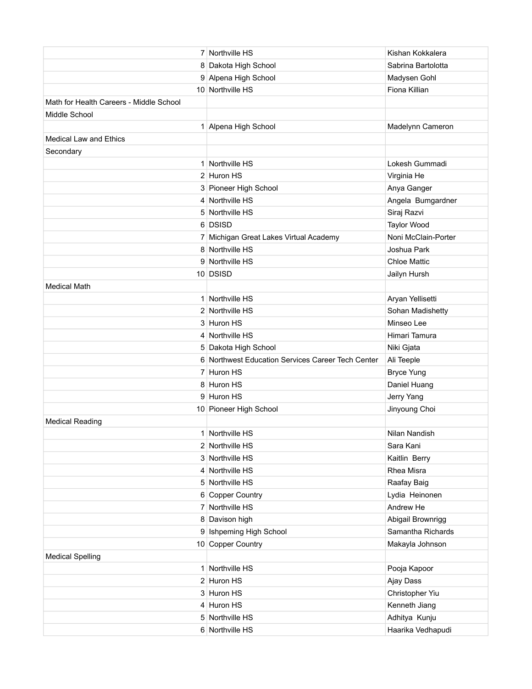|                                         | 7 Northville HS                                   | Kishan Kokkalera    |
|-----------------------------------------|---------------------------------------------------|---------------------|
|                                         | 8 Dakota High School                              | Sabrina Bartolotta  |
|                                         | 9 Alpena High School                              | Madysen Gohl        |
|                                         | 10 Northville HS                                  | Fiona Killian       |
| Math for Health Careers - Middle School |                                                   |                     |
| Middle School                           |                                                   |                     |
|                                         | 1 Alpena High School                              | Madelynn Cameron    |
| <b>Medical Law and Ethics</b>           |                                                   |                     |
| Secondary                               |                                                   |                     |
|                                         | 1 Northville HS                                   | Lokesh Gummadi      |
|                                         | 2 Huron HS                                        | Virginia He         |
|                                         | 3 Pioneer High School                             | Anya Ganger         |
|                                         | 4 Northville HS                                   | Angela Bumgardner   |
|                                         | 5 Northville HS                                   | Siraj Razvi         |
|                                         | 6 DSISD                                           | <b>Taylor Wood</b>  |
|                                         | 7 Michigan Great Lakes Virtual Academy            | Noni McClain-Porter |
|                                         | 8 Northville HS                                   | Joshua Park         |
|                                         | 9 Northville HS                                   | <b>Chloe Mattic</b> |
|                                         | 10 DSISD                                          | Jailyn Hursh        |
| <b>Medical Math</b>                     |                                                   |                     |
|                                         | 1 Northville HS                                   | Aryan Yellisetti    |
|                                         | 2 Northville HS                                   | Sohan Madishetty    |
|                                         | 3 Huron HS                                        | Minseo Lee          |
|                                         | 4 Northville HS                                   | Himari Tamura       |
|                                         | 5 Dakota High School                              | Niki Gjata          |
|                                         | 6 Northwest Education Services Career Tech Center | Ali Teeple          |
|                                         | 7 Huron HS                                        | <b>Bryce Yung</b>   |
|                                         | 8 Huron HS                                        | Daniel Huang        |
|                                         | 9 Huron HS                                        | Jerry Yang          |
|                                         | 10 Pioneer High School                            | Jinyoung Choi       |
| <b>Medical Reading</b>                  |                                                   |                     |
|                                         | 1 Northville HS                                   | Nilan Nandish       |
|                                         | 2 Northville HS                                   | Sara Kani           |
|                                         | 3 Northville HS                                   | Kaitlin Berry       |
|                                         | 4 Northville HS                                   | Rhea Misra          |
|                                         | 5 Northville HS                                   | Raafay Baig         |
|                                         | 6 Copper Country                                  | Lydia Heinonen      |
|                                         | 7 Northville HS                                   | Andrew He           |
|                                         | 8 Davison high                                    | Abigail Brownrigg   |
|                                         | 9 Ishpeming High School                           | Samantha Richards   |
|                                         | 10 Copper Country                                 | Makayla Johnson     |
| <b>Medical Spelling</b>                 |                                                   |                     |
|                                         | 1 Northville HS                                   | Pooja Kapoor        |
|                                         | 2 Huron HS                                        | Ajay Dass           |
|                                         | 3 Huron HS                                        | Christopher Yiu     |
|                                         | 4 Huron HS                                        | Kenneth Jiang       |
|                                         | 5 Northville HS                                   | Adhitya Kunju       |
|                                         | 6 Northville HS                                   | Haarika Vedhapudi   |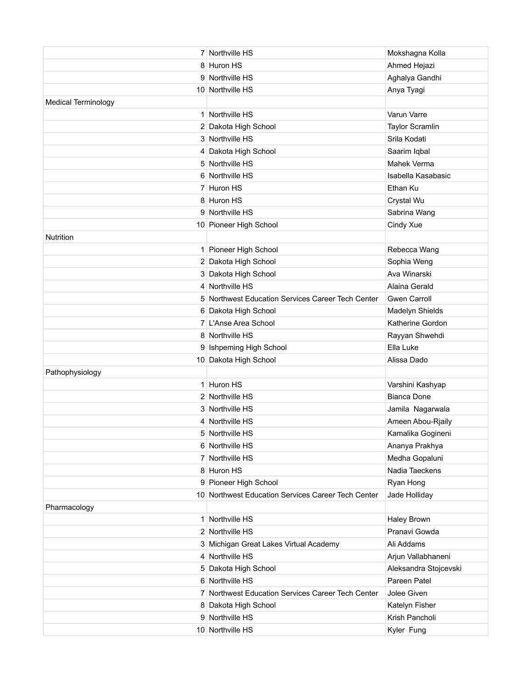|                            | 7 Northville HS                                    | Mokshagna Kolla              |
|----------------------------|----------------------------------------------------|------------------------------|
|                            | 8 Huron HS                                         | Ahmed Hejazi                 |
|                            | 9 Northville HS                                    | Aghalya Gandhi               |
|                            | 10 Northville HS                                   | Anya Tyagi                   |
| <b>Medical Terminology</b> |                                                    |                              |
|                            | 1 Northville HS                                    | Varun Varre                  |
|                            | 2 Dakota High School                               | <b>Taylor Scramlin</b>       |
|                            | 3 Northville HS                                    | Srila Kodati                 |
|                            | 4 Dakota High School                               | Saarim Iqbal                 |
|                            | 5 Northville HS                                    | <b>Mahek Verma</b>           |
|                            | 6 Northville HS                                    | Isabella Kasabasic           |
|                            | 7 Huron HS                                         | Ethan Ku                     |
|                            | 8 Huron HS                                         | Crystal Wu                   |
|                            | 9 Northville HS                                    | Sabrina Wang                 |
|                            | 10 Pioneer High School                             | Cindy Xue                    |
| <b>Nutrition</b>           |                                                    |                              |
|                            | 1 Pioneer High School                              | Rebecca Wang                 |
|                            | 2 Dakota High School                               | Sophia Weng                  |
|                            | 3 Dakota High School                               | Ava Winarski                 |
|                            | 4 Northville HS                                    | Alaina Gerald                |
|                            | 5 Northwest Education Services Career Tech Center  | <b>Gwen Carroll</b>          |
|                            | 6 Dakota High School                               | Madelyn Shields              |
|                            | 7 L'Anse Area School                               | Katherine Gordon             |
|                            | 8 Northville HS                                    | Rayyan Shwehdi               |
|                            |                                                    |                              |
|                            | 9 Ishpeming High School                            | Ella Luke                    |
|                            | 10 Dakota High School                              | Alissa Dado                  |
| Pathophysiology            |                                                    |                              |
|                            | 1 Huron HS                                         | Varshini Kashyap             |
|                            | 2 Northville HS                                    | <b>Bianca Done</b>           |
|                            | 3 Northville HS                                    | Jamila Nagarwala             |
|                            | 4 Northville HS                                    | Ameen Abou-Rjaily            |
|                            | 5 Northville HS                                    | Kamalika Gogineni            |
|                            | 6 Northville HS                                    | Ananya Prakhya               |
|                            | 7 Northville HS                                    | Medha Gopaluni               |
|                            | 8 Huron HS                                         | Nadia Taeckens               |
|                            | 9 Pioneer High School                              | Ryan Hong                    |
|                            | 10 Northwest Education Services Career Tech Center | Jade Holliday                |
| Pharmacology               |                                                    |                              |
|                            | 1 Northville HS                                    | <b>Haley Brown</b>           |
|                            | 2 Northville HS                                    | Pranavi Gowda                |
|                            | 3 Michigan Great Lakes Virtual Academy             | Ali Addams                   |
|                            | 4 Northville HS                                    | Arjun Vallabhaneni           |
|                            | 5 Dakota High School                               | Aleksandra Stojcevski        |
|                            | 6 Northville HS                                    | Pareen Patel                 |
|                            | 7 Northwest Education Services Career Tech Center  | Jolee Given                  |
|                            | 8 Dakota High School                               | Katelyn Fisher               |
|                            | 9 Northville HS<br>10 Northville HS                | Krish Pancholi<br>Kyler Fung |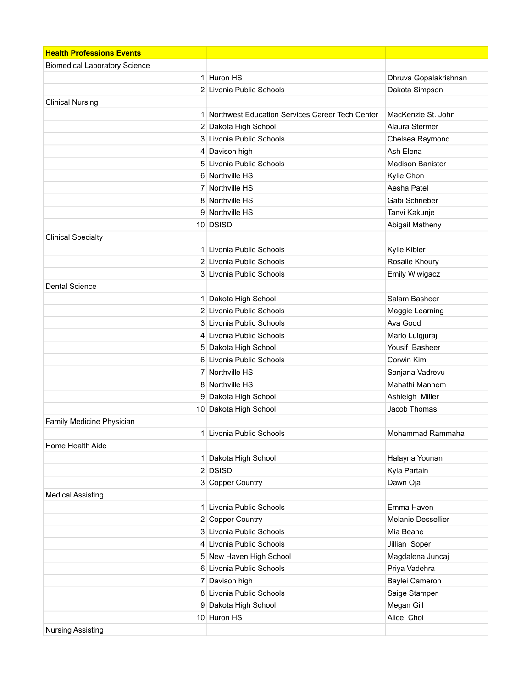| <b>Health Professions Events</b>     |                                                   |                         |
|--------------------------------------|---------------------------------------------------|-------------------------|
| <b>Biomedical Laboratory Science</b> |                                                   |                         |
|                                      | 1 Huron HS                                        | Dhruva Gopalakrishnan   |
|                                      | 2 Livonia Public Schools                          | Dakota Simpson          |
| <b>Clinical Nursing</b>              |                                                   |                         |
|                                      | 1 Northwest Education Services Career Tech Center | MacKenzie St. John      |
|                                      | 2 Dakota High School                              | Alaura Stermer          |
|                                      | 3 Livonia Public Schools                          | Chelsea Raymond         |
|                                      | 4 Davison high                                    | Ash Elena               |
|                                      | 5 Livonia Public Schools                          | <b>Madison Banister</b> |
|                                      | 6 Northville HS                                   | Kylie Chon              |
|                                      | 7 Northville HS                                   | Aesha Patel             |
|                                      | 8 Northville HS                                   | Gabi Schrieber          |
|                                      | 9 Northville HS                                   | Tanvi Kakunje           |
|                                      | 10 DSISD                                          | Abigail Matheny         |
| <b>Clinical Specialty</b>            |                                                   |                         |
|                                      | 1 Livonia Public Schools                          | Kylie Kibler            |
|                                      | 2 Livonia Public Schools                          | Rosalie Khoury          |
|                                      | 3 Livonia Public Schools                          | <b>Emily Wiwigacz</b>   |
| <b>Dental Science</b>                |                                                   |                         |
|                                      | 1 Dakota High School                              | Salam Basheer           |
|                                      | 2 Livonia Public Schools                          | Maggie Learning         |
|                                      | 3 Livonia Public Schools                          | Ava Good                |
|                                      | 4 Livonia Public Schools                          | Marlo Lulgjuraj         |
|                                      | 5 Dakota High School                              | Yousif Basheer          |
|                                      | 6 Livonia Public Schools                          | Corwin Kim              |
|                                      | 7 Northville HS                                   | Sanjana Vadrevu         |
|                                      | 8 Northville HS                                   | Mahathi Mannem          |
|                                      | 9 Dakota High School                              | Ashleigh Miller         |
|                                      | 10 Dakota High School                             | Jacob Thomas            |
| Family Medicine Physician            |                                                   |                         |
|                                      | 1 Livonia Public Schools                          | Mohammad Rammaha        |
| Home Health Aide                     |                                                   |                         |
|                                      | 1 Dakota High School                              | Halayna Younan          |
|                                      | $2$ DSISD                                         | Kyla Partain            |
|                                      | 3 Copper Country                                  | Dawn Oja                |
| <b>Medical Assisting</b>             |                                                   |                         |
|                                      | 1 Livonia Public Schools                          | Emma Haven              |
|                                      | 2 Copper Country                                  | Melanie Dessellier      |
|                                      | 3 Livonia Public Schools                          | Mia Beane               |
|                                      | 4 Livonia Public Schools                          | Jillian Soper           |
|                                      | 5 New Haven High School                           | Magdalena Juncaj        |
|                                      | 6 Livonia Public Schools                          | Priya Vadehra           |
|                                      | 7 Davison high                                    | Baylei Cameron          |
|                                      | 8 Livonia Public Schools                          | Saige Stamper           |
|                                      | 9 Dakota High School                              | Megan Gill              |
|                                      | 10 Huron HS                                       | Alice Choi              |
| <b>Nursing Assisting</b>             |                                                   |                         |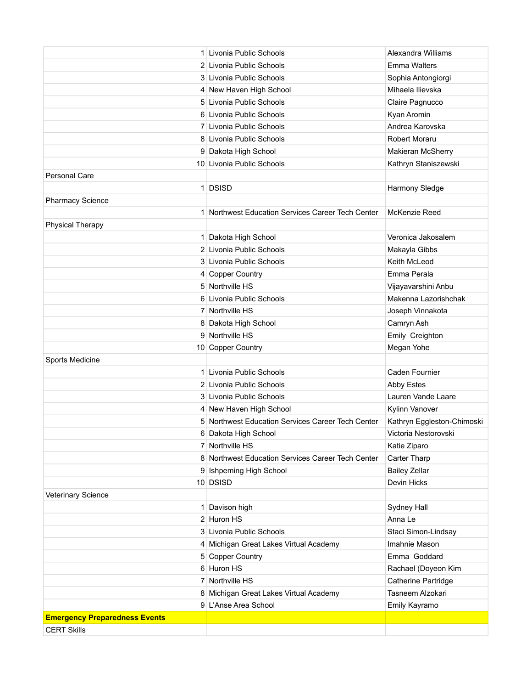|                                      | 1 Livonia Public Schools                          | Alexandra Williams         |
|--------------------------------------|---------------------------------------------------|----------------------------|
|                                      | 2 Livonia Public Schools                          | <b>Emma Walters</b>        |
|                                      | 3 Livonia Public Schools                          | Sophia Antongiorgi         |
|                                      | 4 New Haven High School                           | Mihaela Ilievska           |
|                                      | 5 Livonia Public Schools                          | Claire Pagnucco            |
|                                      | 6 Livonia Public Schools                          | Kyan Aromin                |
|                                      | 7 Livonia Public Schools                          | Andrea Karovska            |
|                                      | 8 Livonia Public Schools                          | <b>Robert Moraru</b>       |
|                                      | 9 Dakota High School                              | Makieran McSherry          |
|                                      | 10 Livonia Public Schools                         | Kathryn Staniszewski       |
| <b>Personal Care</b>                 |                                                   |                            |
|                                      | 1 DSISD                                           | Harmony Sledge             |
| <b>Pharmacy Science</b>              |                                                   |                            |
|                                      | 1 Northwest Education Services Career Tech Center | McKenzie Reed              |
| <b>Physical Therapy</b>              |                                                   |                            |
|                                      | 1 Dakota High School                              | Veronica Jakosalem         |
|                                      | 2 Livonia Public Schools                          | Makayla Gibbs              |
|                                      | 3 Livonia Public Schools                          | Keith McLeod               |
|                                      | 4 Copper Country                                  | Emma Perala                |
|                                      | 5 Northville HS                                   | Vijayavarshini Anbu        |
|                                      | 6 Livonia Public Schools                          | Makenna Lazorishchak       |
|                                      | 7 Northville HS                                   | Joseph Vinnakota           |
|                                      | 8 Dakota High School                              | Camryn Ash                 |
|                                      | 9 Northville HS                                   | Emily Creighton            |
|                                      | 10 Copper Country                                 | Megan Yohe                 |
| Sports Medicine                      |                                                   |                            |
|                                      | 1 Livonia Public Schools                          | Caden Fournier             |
|                                      | 2 Livonia Public Schools                          | Abby Estes                 |
|                                      | 3 Livonia Public Schools                          | Lauren Vande Laare         |
|                                      | 4 New Haven High School                           | Kylinn Vanover             |
|                                      | 5 Northwest Education Services Career Tech Center | Kathryn Eggleston-Chimoski |
|                                      | 6 Dakota High School                              | Victoria Nestorovski       |
|                                      | 7 Northville HS                                   | Katie Ziparo               |
|                                      | 8 Northwest Education Services Career Tech Center | Carter Tharp               |
|                                      | 9 Ishpeming High School                           | <b>Bailey Zellar</b>       |
|                                      | 10 DSISD                                          | Devin Hicks                |
| Veterinary Science                   |                                                   |                            |
|                                      | 1 Davison high                                    | Sydney Hall                |
|                                      | 2 Huron HS                                        | Anna Le                    |
|                                      | 3 Livonia Public Schools                          | Staci Simon-Lindsay        |
|                                      | 4 Michigan Great Lakes Virtual Academy            | Imahnie Mason              |
|                                      | 5 Copper Country                                  | Emma Goddard               |
|                                      | 6 Huron HS                                        | Rachael (Doyeon Kim        |
|                                      | 7 Northville HS                                   | Catherine Partridge        |
|                                      | 8 Michigan Great Lakes Virtual Academy            | Tasneem Alzokari           |
|                                      | 9 L'Anse Area School                              | Emily Kayramo              |
| <b>Emergency Preparedness Events</b> |                                                   |                            |
| <b>CERT Skills</b>                   |                                                   |                            |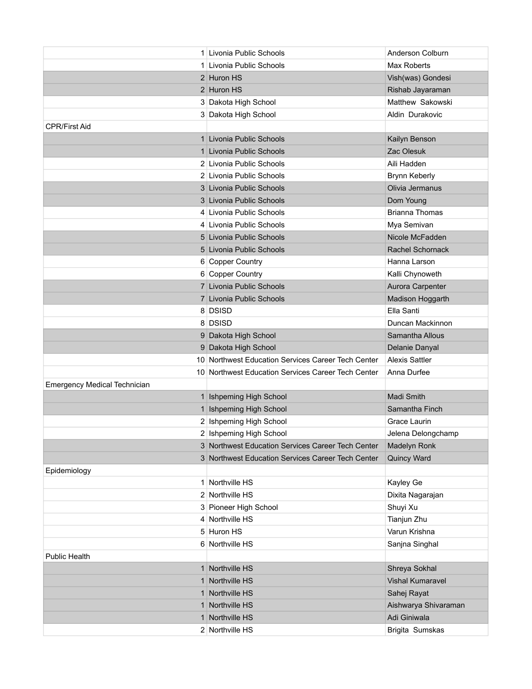|                                     | 1 Livonia Public Schools                           | Anderson Colburn        |
|-------------------------------------|----------------------------------------------------|-------------------------|
|                                     | 1 Livonia Public Schools                           | Max Roberts             |
|                                     | 2 Huron HS                                         | Vish(was) Gondesi       |
|                                     | 2 Huron HS                                         | Rishab Jayaraman        |
|                                     | 3 Dakota High School                               | Matthew Sakowski        |
|                                     | 3 Dakota High School                               | Aldin Durakovic         |
| <b>CPR/First Aid</b>                |                                                    |                         |
|                                     | 1 Livonia Public Schools                           | Kailyn Benson           |
|                                     | 1 Livonia Public Schools                           | Zac Olesuk              |
|                                     | 2 Livonia Public Schools                           | Aili Hadden             |
|                                     | 2 Livonia Public Schools                           | <b>Brynn Keberly</b>    |
|                                     | 3 Livonia Public Schools                           | Olivia Jermanus         |
|                                     | 3 Livonia Public Schools                           | Dom Young               |
|                                     | 4 Livonia Public Schools                           | <b>Brianna Thomas</b>   |
|                                     | 4 Livonia Public Schools                           | Mya Semivan             |
|                                     | 5 Livonia Public Schools                           | Nicole McFadden         |
|                                     | 5 Livonia Public Schools                           | Rachel Schornack        |
|                                     | 6 Copper Country                                   | Hanna Larson            |
|                                     | 6 Copper Country                                   | Kalli Chynoweth         |
|                                     | 7 Livonia Public Schools                           | Aurora Carpenter        |
|                                     | 7 Livonia Public Schools                           | Madison Hoggarth        |
|                                     | 8 DSISD                                            | Ella Santi              |
|                                     | 8 DSISD                                            | Duncan Mackinnon        |
|                                     | 9 Dakota High School                               | Samantha Allous         |
|                                     | 9 Dakota High School                               | Delanie Danyal          |
|                                     | 10 Northwest Education Services Career Tech Center | Alexis Sattler          |
|                                     | 10 Northwest Education Services Career Tech Center | Anna Durfee             |
| <b>Emergency Medical Technician</b> |                                                    |                         |
|                                     | 1 Ishpeming High School                            | Madi Smith              |
|                                     | 1 Ishpeming High School                            | Samantha Finch          |
|                                     | 2 Ishpeming High School                            | Grace Laurin            |
|                                     | 2 Ishpeming High School                            | Jelena Delongchamp      |
|                                     | 3 Northwest Education Services Career Tech Center  | <b>Madelyn Ronk</b>     |
|                                     | 3 Northwest Education Services Career Tech Center  | <b>Quincy Ward</b>      |
| Epidemiology                        |                                                    |                         |
|                                     | 1 Northville HS                                    | Kayley Ge               |
|                                     | 2 Northville HS                                    | Dixita Nagarajan        |
|                                     | 3 Pioneer High School                              | Shuyi Xu                |
|                                     | 4 Northville HS                                    | Tianjun Zhu             |
|                                     | 5 Huron HS                                         | Varun Krishna           |
|                                     | 6 Northville HS                                    | Sanjna Singhal          |
| <b>Public Health</b>                |                                                    |                         |
|                                     | 1 Northville HS                                    | Shreya Sokhal           |
|                                     | 1 Northville HS                                    | <b>Vishal Kumaravel</b> |
| 1 <sup>1</sup>                      | Northville HS                                      | Sahej Rayat             |
|                                     | 1 Northville HS                                    | Aishwarya Shivaraman    |
|                                     | 1 Northville HS                                    | Adi Giniwala            |
|                                     | 2 Northville HS                                    | Brigita Sumskas         |
|                                     |                                                    |                         |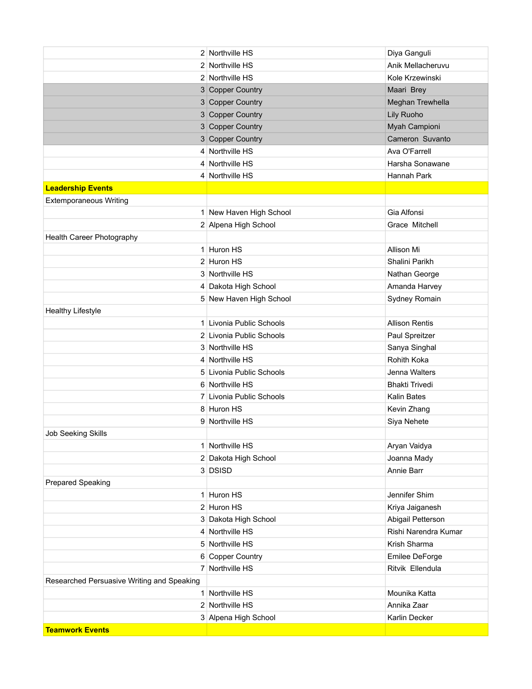|                                            | 2 Northville HS          | Diya Ganguli          |
|--------------------------------------------|--------------------------|-----------------------|
|                                            | 2 Northville HS          | Anik Mellacheruvu     |
|                                            | 2 Northville HS          | Kole Krzewinski       |
|                                            | 3 Copper Country         | Maari Brey            |
|                                            | 3 Copper Country         | Meghan Trewhella      |
|                                            | 3 Copper Country         | Lily Ruoho            |
|                                            | 3 Copper Country         | Myah Campioni         |
|                                            | 3 Copper Country         | Cameron Suvanto       |
|                                            | 4 Northville HS          | Ava O'Farrell         |
|                                            | 4 Northville HS          | Harsha Sonawane       |
|                                            | 4 Northville HS          | Hannah Park           |
| <b>Leadership Events</b>                   |                          |                       |
| <b>Extemporaneous Writing</b>              |                          |                       |
|                                            | 1 New Haven High School  | Gia Alfonsi           |
|                                            | 2 Alpena High School     | Grace Mitchell        |
| Health Career Photography                  |                          |                       |
|                                            | 1 Huron HS               | Allison Mi            |
|                                            | 2 Huron HS               | Shalini Parikh        |
|                                            | 3 Northville HS          | Nathan George         |
|                                            | 4 Dakota High School     | Amanda Harvey         |
|                                            | 5 New Haven High School  | Sydney Romain         |
| <b>Healthy Lifestyle</b>                   |                          |                       |
|                                            | 1 Livonia Public Schools | <b>Allison Rentis</b> |
|                                            | 2 Livonia Public Schools | Paul Spreitzer        |
|                                            | 3 Northville HS          | Sanya Singhal         |
|                                            | 4 Northville HS          | Rohith Koka           |
|                                            | 5 Livonia Public Schools | Jenna Walters         |
|                                            | 6 Northville HS          | <b>Bhakti Trivedi</b> |
|                                            | 7 Livonia Public Schools | Kalin Bates           |
|                                            | 8 Huron HS               | Kevin Zhang           |
|                                            | 9 Northville HS          | Siya Nehete           |
| <b>Job Seeking Skills</b>                  |                          |                       |
|                                            | 1 Northville HS          | Aryan Vaidya          |
|                                            | 2 Dakota High School     | Joanna Mady           |
|                                            | 3 DSISD                  | Annie Barr            |
| Prepared Speaking                          |                          |                       |
|                                            | 1 Huron HS               | Jennifer Shim         |
|                                            | 2 Huron HS               | Kriya Jaiganesh       |
|                                            | 3 Dakota High School     | Abigail Petterson     |
|                                            | 4 Northville HS          | Rishi Narendra Kumar  |
|                                            | 5 Northville HS          | Krish Sharma          |
|                                            | 6 Copper Country         | Emilee DeForge        |
|                                            | 7 Northville HS          | Ritvik Ellendula      |
| Researched Persuasive Writing and Speaking |                          |                       |
| 1                                          | Northville HS            | Mounika Katta         |
|                                            | 2 Northville HS          | Annika Zaar           |
|                                            | 3 Alpena High School     | Karlin Decker         |
| <b>Teamwork Events</b>                     |                          |                       |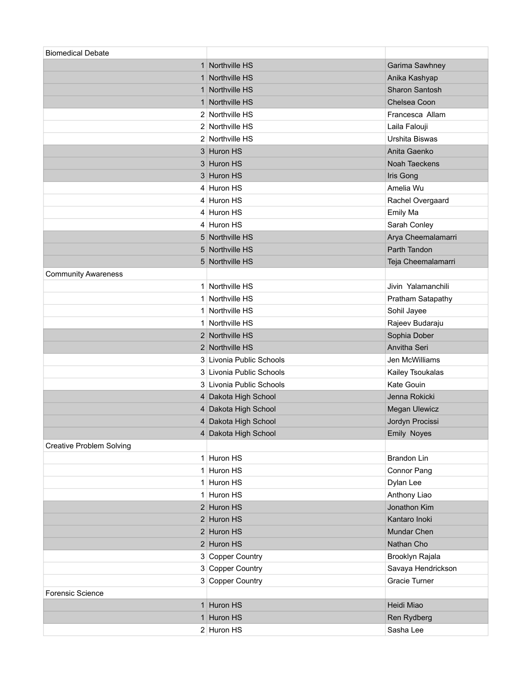| <b>Biomedical Debate</b>        |                          |                       |
|---------------------------------|--------------------------|-----------------------|
|                                 | 1 Northville HS          | Garima Sawhney        |
|                                 | 1 Northville HS          | Anika Kashyap         |
|                                 | 1 Northville HS          | <b>Sharon Santosh</b> |
| 1 <sup>1</sup>                  | Northville HS            | Chelsea Coon          |
|                                 | 2 Northville HS          | Francesca Allam       |
|                                 | 2 Northville HS          | Laila Falouji         |
|                                 | 2 Northville HS          | Urshita Biswas        |
|                                 | 3 Huron HS               | Anita Gaenko          |
|                                 | 3 Huron HS               | <b>Noah Taeckens</b>  |
|                                 | 3 Huron HS               | Iris Gong             |
|                                 | 4 Huron HS               | Amelia Wu             |
|                                 | 4 Huron HS               | Rachel Overgaard      |
|                                 | 4 Huron HS               | Emily Ma              |
|                                 | 4 Huron HS               | Sarah Conley          |
|                                 | 5 Northville HS          | Arya Cheemalamarri    |
|                                 | 5 Northville HS          | Parth Tandon          |
|                                 | 5 Northville HS          | Teja Cheemalamarri    |
| <b>Community Awareness</b>      |                          |                       |
|                                 | 1 Northville HS          | Jivin Yalamanchili    |
|                                 | 1 Northville HS          | Pratham Satapathy     |
|                                 | 1 Northville HS          | Sohil Jayee           |
|                                 | 1 Northville HS          | Rajeev Budaraju       |
|                                 | 2 Northville HS          | Sophia Dober          |
|                                 | 2 Northville HS          | Anvitha Seri          |
|                                 | 3 Livonia Public Schools | Jen McWilliams        |
|                                 | 3 Livonia Public Schools | Kailey Tsoukalas      |
|                                 | 3 Livonia Public Schools | Kate Gouin            |
|                                 | 4 Dakota High School     | Jenna Rokicki         |
|                                 | 4 Dakota High School     | <b>Megan Ulewicz</b>  |
|                                 | 4 Dakota High School     | Jordyn Procissi       |
|                                 | 4 Dakota High School     | <b>Emily Noyes</b>    |
| <b>Creative Problem Solving</b> |                          |                       |
|                                 | 1 Huron HS               | <b>Brandon Lin</b>    |
|                                 | 1 Huron HS               | Connor Pang           |
|                                 | 1 Huron HS               | Dylan Lee             |
|                                 | 1 Huron HS               | Anthony Liao          |
|                                 | 2 Huron HS               | Jonathon Kim          |
|                                 | $2$ Huron HS             | Kantaro Inoki         |
|                                 | 2 Huron HS               | Mundar Chen           |
|                                 | 2 Huron HS               | Nathan Cho            |
|                                 | 3 Copper Country         | Brooklyn Rajala       |
|                                 | 3 Copper Country         | Savaya Hendrickson    |
|                                 | 3 Copper Country         | Gracie Turner         |
| <b>Forensic Science</b>         |                          |                       |
|                                 | 1 Huron HS               | Heidi Miao            |
|                                 | 1 Huron HS               | Ren Rydberg           |
|                                 | 2 Huron HS               | Sasha Lee             |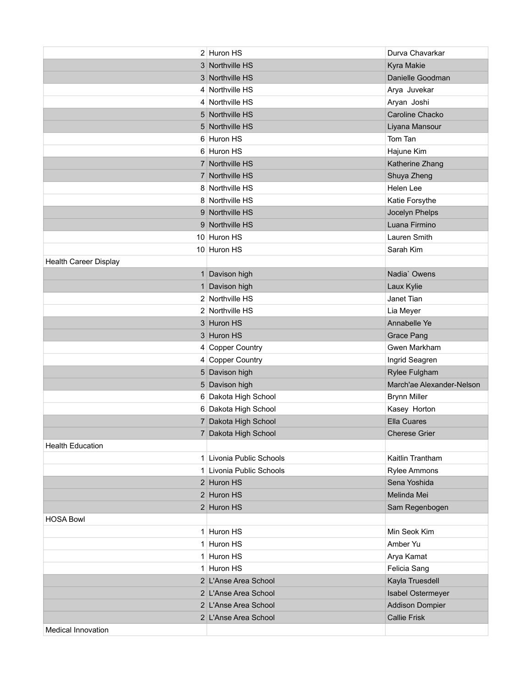|                              | 2 Huron HS               | Durva Chavarkar           |
|------------------------------|--------------------------|---------------------------|
|                              | 3 Northville HS          | Kyra Makie                |
|                              | 3 Northville HS          | Danielle Goodman          |
|                              | 4 Northville HS          | Arya Juvekar              |
|                              | 4 Northville HS          | Aryan Joshi               |
|                              | 5 Northville HS          | Caroline Chacko           |
|                              | 5 Northville HS          | Liyana Mansour            |
|                              | 6 Huron HS               | Tom Tan                   |
|                              | 6 Huron HS               | Hajune Kim                |
|                              | 7 Northville HS          | Katherine Zhang           |
|                              | 7 Northville HS          | Shuya Zheng               |
|                              | 8 Northville HS          | Helen Lee                 |
|                              | 8 Northville HS          | Katie Forsythe            |
|                              | 9 Northville HS          | Jocelyn Phelps            |
|                              | 9 Northville HS          | Luana Firmino             |
|                              | 10 Huron HS              | Lauren Smith              |
|                              | 10 Huron HS              | Sarah Kim                 |
| <b>Health Career Display</b> |                          |                           |
|                              | 1 Davison high           | Nadia' Owens              |
|                              | 1 Davison high           | Laux Kylie                |
|                              | 2 Northville HS          | Janet Tian                |
|                              | 2 Northville HS          | Lia Meyer                 |
|                              | 3 Huron HS               | Annabelle Ye              |
|                              | 3 Huron HS               | <b>Grace Pang</b>         |
|                              | 4 Copper Country         | Gwen Markham              |
|                              | 4 Copper Country         | Ingrid Seagren            |
|                              | 5 Davison high           | Rylee Fulgham             |
|                              | 5 Davison high           | March'ae Alexander-Nelson |
|                              | 6 Dakota High School     | <b>Brynn Miller</b>       |
|                              | 6 Dakota High School     | Kasey Horton              |
|                              | 7 Dakota High School     | Ella Cuares               |
|                              | 7 Dakota High School     | <b>Cherese Grier</b>      |
| <b>Health Education</b>      |                          |                           |
|                              | 1 Livonia Public Schools | Kaitlin Trantham          |
|                              | 1 Livonia Public Schools | Rylee Ammons              |
|                              | 2 Huron HS               | Sena Yoshida              |
|                              | $2$ Huron HS             | Melinda Mei               |
|                              | $2$ Huron HS             | Sam Regenbogen            |
| <b>HOSA Bowl</b>             |                          |                           |
|                              | 1 Huron HS               | Min Seok Kim              |
|                              | 1 Huron HS               | Amber Yu                  |
|                              | 1 Huron HS               | Arya Kamat                |
|                              | 1 Huron HS               | Felicia Sang              |
|                              | 2 L'Anse Area School     | Kayla Truesdell           |
|                              | 2 L'Anse Area School     | Isabel Ostermeyer         |
|                              | 2 L'Anse Area School     | <b>Addison Dompier</b>    |
|                              | 2 L'Anse Area School     | <b>Callie Frisk</b>       |
| <b>Medical Innovation</b>    |                          |                           |